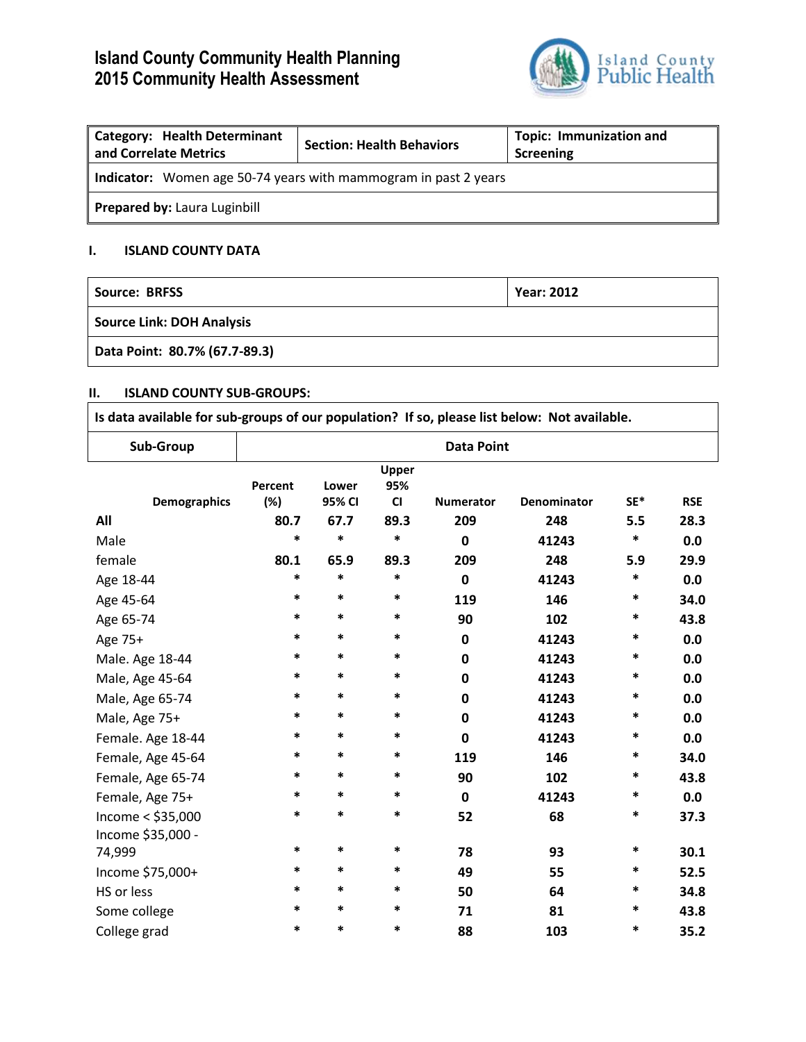# **Island County Community Health Planning 2015 Community Health Assessment**



| <b>Category: Health Determinant</b><br>and Correlate Metrics           | <b>Section: Health Behaviors</b> | <b>Topic: Immunization and</b><br>Screening |  |  |  |
|------------------------------------------------------------------------|----------------------------------|---------------------------------------------|--|--|--|
| <b>Indicator:</b> Women age 50-74 years with mammogram in past 2 years |                                  |                                             |  |  |  |
| <b>Prepared by: Laura Luginbill</b>                                    |                                  |                                             |  |  |  |

# **I. ISLAND COUNTY DATA**

| Source: BRFSS                    | <b>Year: 2012</b> |
|----------------------------------|-------------------|
| <b>Source Link: DOH Analysis</b> |                   |
| Data Point: 80.7% (67.7-89.3)    |                   |

# **II. ISLAND COUNTY SUB-GROUPS:**

| Is data available for sub-groups of our population? If so, please list below: Not available. |  |
|----------------------------------------------------------------------------------------------|--|
|                                                                                              |  |

| Sub-Group                                | <b>Data Point</b> |                 |                    |                  |             |        |            |
|------------------------------------------|-------------------|-----------------|--------------------|------------------|-------------|--------|------------|
| <b>Demographics</b>                      | Percent<br>(%)    | Lower<br>95% CI | Upper<br>95%<br>C1 | <b>Numerator</b> | Denominator | SE*    | <b>RSE</b> |
| All                                      | 80.7              | 67.7            | 89.3               | 209              | 248         | 5.5    | 28.3       |
| Male                                     | $\ast$            | $\ast$          | $\ast$             | $\mathbf 0$      | 41243       | *      | 0.0        |
| female                                   | 80.1              | 65.9            | 89.3               | 209              | 248         | 5.9    | 29.9       |
| Age 18-44                                | $\ast$            | $\ast$          | $\ast$             | $\mathbf 0$      | 41243       | *      | 0.0        |
| Age 45-64                                | *                 | *               | $\ast$             | 119              | 146         | *      | 34.0       |
| Age 65-74                                | $\ast$            | $\ast$          | $\ast$             | 90               | 102         | $\ast$ | 43.8       |
| Age 75+                                  | *                 | *               | $\ast$             | 0                | 41243       | *      | 0.0        |
| Male. Age 18-44                          | *                 | *               | $\ast$             | 0                | 41243       | *      | 0.0        |
| Male, Age 45-64                          | $\ast$            | $\ast$          | $\ast$             | 0                | 41243       | *      | 0.0        |
| Male, Age 65-74                          | $\ast$            | $\ast$          | $\ast$             | 0                | 41243       | *      | 0.0        |
| Male, Age 75+                            | $\ast$            | $\ast$          | $\ast$             | 0                | 41243       | *      | 0.0        |
| Female. Age 18-44                        | $\ast$            | $\ast$          | $\ast$             | $\mathbf 0$      | 41243       | *      | 0.0        |
| Female, Age 45-64                        | $\ast$            | *               | $\ast$             | 119              | 146         | *      | 34.0       |
| Female, Age 65-74                        | $\ast$            | *               | $\ast$             | 90               | 102         | *      | 43.8       |
| Female, Age 75+                          | $\ast$            | $\ast$          | $\ast$             | 0                | 41243       | *      | 0.0        |
| Income $<$ \$35,000<br>Income \$35,000 - | *                 | *               | $\ast$             | 52               | 68          | *      | 37.3       |
| 74,999                                   | $\ast$            | *               | $\ast$             | 78               | 93          | *      | 30.1       |
| Income \$75,000+                         | $\ast$            | $\ast$          | $\ast$             | 49               | 55          | *      | 52.5       |
| HS or less                               | *                 | $\ast$          | $\ast$             | 50               | 64          | *      | 34.8       |
| Some college                             | $\ast$            | $\ast$          | $\ast$             | 71               | 81          | *      | 43.8       |
| College grad                             | $\ast$            | $\ast$          | $\ast$             | 88               | 103         | *      | 35.2       |